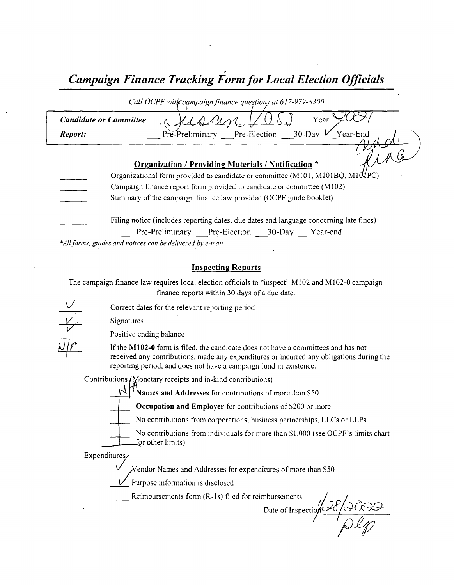Campaign Finance Tracking Form for Local Election Officials

|         | Call OCPF with campaign finance questions at 617-979-8300                                                                                                                                                                                          |
|---------|----------------------------------------------------------------------------------------------------------------------------------------------------------------------------------------------------------------------------------------------------|
|         | Year<br><b>Candidate or Committee</b>                                                                                                                                                                                                              |
| Report: | Pre-Preliminary Pre-Election 30-Day V Year-End                                                                                                                                                                                                     |
|         | <b>Organization / Providing Materials / Notification *</b>                                                                                                                                                                                         |
|         | Organizational form provided to candidate or committee (M101, M101BQ, M10UPC)                                                                                                                                                                      |
|         | Campaign finance report form provided to candidate or committee (M102)                                                                                                                                                                             |
|         | Summary of the campaign finance law provided (OCPF guide booklet)                                                                                                                                                                                  |
|         | Filing notice (includes reporting dates, due dates and language concerning late fines)<br>Pre-Preliminary Pre-Election 30-Day Year-end<br>*All forms, guides and notices can be delivered by e-mail<br><b>Inspecting Reports</b>                   |
|         | The campaign finance law requires local election officials to "inspect" M102 and M102-0 campaign<br>finance reports within 30 days of a due date.                                                                                                  |
|         | Correct dates for the relevant reporting period                                                                                                                                                                                                    |
|         | Signatures                                                                                                                                                                                                                                         |
|         | Positive ending balance                                                                                                                                                                                                                            |
|         | If the M102-0 form is filed, the candidate does not have a committees and has not<br>received any contributions, made any expenditures or incurred any obligations during the<br>reporting period, and does not have a campaign fund in existence. |

Contributions (Wonetary receipts and in-kind contributions)<br>
Values and Addresses for contributions of more than \$50

Occupation and Employer for contributions of \$200 or more

v

No contributions from corporations, business partnerships, LLCs or LLPs

No contributions from individuals for more than \$1,000 (see OCPF's limits chart for other limits)

Expenditures/

 $\chi$ endor Names and Addresses for expenditures of more than \$50

Purpose information is disclosed

Reimbursements form (R-1s) filed for reimbursements

mbursements<br>Date of Inspection 38/3000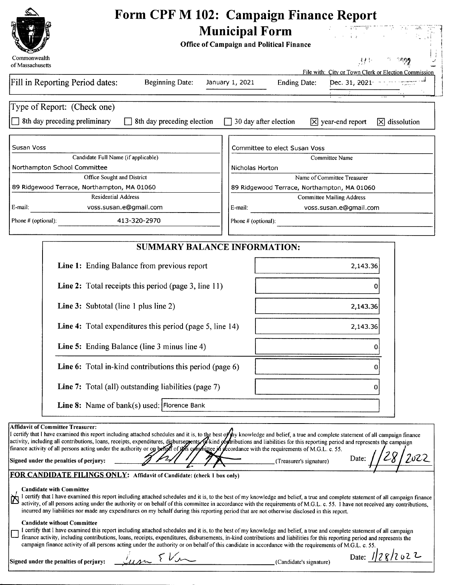

#### Form CPF M 102: Campaign Finance Report<br>Municipal Form Municipal Form ST.  $\mathcal{A}^{\mathcal{A}}$

Office of Campaign and Political Finance

| ≪⊖™<br>Commonwealth<br>of Massachusetts                                                                                                                                                                                                                                                                                                                                                                                                                                                                                                                                                                                                                                                                                                                                                                                                                                                                                                                                                                                                                                                                                                                                                                                                                                                                                                                                                                                                                                                                                                                                                                                                              |                     |                                             | 37 F                                                                    |                              |
|------------------------------------------------------------------------------------------------------------------------------------------------------------------------------------------------------------------------------------------------------------------------------------------------------------------------------------------------------------------------------------------------------------------------------------------------------------------------------------------------------------------------------------------------------------------------------------------------------------------------------------------------------------------------------------------------------------------------------------------------------------------------------------------------------------------------------------------------------------------------------------------------------------------------------------------------------------------------------------------------------------------------------------------------------------------------------------------------------------------------------------------------------------------------------------------------------------------------------------------------------------------------------------------------------------------------------------------------------------------------------------------------------------------------------------------------------------------------------------------------------------------------------------------------------------------------------------------------------------------------------------------------------|---------------------|---------------------------------------------|-------------------------------------------------------------------------|------------------------------|
| Fill in Reporting Period dates:<br><b>Beginning Date:</b>                                                                                                                                                                                                                                                                                                                                                                                                                                                                                                                                                                                                                                                                                                                                                                                                                                                                                                                                                                                                                                                                                                                                                                                                                                                                                                                                                                                                                                                                                                                                                                                            | January 1, 2021     | <b>Ending Date:</b>                         | File with: City or Town Clerk or Election Commission<br>Dec. 31, 2021 - |                              |
| Type of Report: (Check one)                                                                                                                                                                                                                                                                                                                                                                                                                                                                                                                                                                                                                                                                                                                                                                                                                                                                                                                                                                                                                                                                                                                                                                                                                                                                                                                                                                                                                                                                                                                                                                                                                          |                     |                                             |                                                                         |                              |
| 8th day preceding preliminary<br>8th day preceding election                                                                                                                                                                                                                                                                                                                                                                                                                                                                                                                                                                                                                                                                                                                                                                                                                                                                                                                                                                                                                                                                                                                                                                                                                                                                                                                                                                                                                                                                                                                                                                                          |                     | 30 day after election                       | $ \overline{X} $ year-end report                                        | $ \overline{X} $ dissolution |
| Susan Voss                                                                                                                                                                                                                                                                                                                                                                                                                                                                                                                                                                                                                                                                                                                                                                                                                                                                                                                                                                                                                                                                                                                                                                                                                                                                                                                                                                                                                                                                                                                                                                                                                                           |                     | Committee to elect Susan Voss               |                                                                         |                              |
| Candidate Full Name (if applicable)                                                                                                                                                                                                                                                                                                                                                                                                                                                                                                                                                                                                                                                                                                                                                                                                                                                                                                                                                                                                                                                                                                                                                                                                                                                                                                                                                                                                                                                                                                                                                                                                                  |                     |                                             | Committee Name                                                          |                              |
| Northampton School Committee<br>Office Sought and District                                                                                                                                                                                                                                                                                                                                                                                                                                                                                                                                                                                                                                                                                                                                                                                                                                                                                                                                                                                                                                                                                                                                                                                                                                                                                                                                                                                                                                                                                                                                                                                           | Nicholas Horton     |                                             | Name of Committee Treasurer                                             |                              |
| 89 Ridgewood Terrace, Northampton, MA 01060                                                                                                                                                                                                                                                                                                                                                                                                                                                                                                                                                                                                                                                                                                                                                                                                                                                                                                                                                                                                                                                                                                                                                                                                                                                                                                                                                                                                                                                                                                                                                                                                          |                     | 89 Ridgewood Terrace, Northampton, MA 01060 |                                                                         |                              |
| <b>Residential Address</b>                                                                                                                                                                                                                                                                                                                                                                                                                                                                                                                                                                                                                                                                                                                                                                                                                                                                                                                                                                                                                                                                                                                                                                                                                                                                                                                                                                                                                                                                                                                                                                                                                           |                     |                                             | <b>Committee Mailing Address</b>                                        |                              |
| voss.susan.e@gmail.com<br>E-mail:                                                                                                                                                                                                                                                                                                                                                                                                                                                                                                                                                                                                                                                                                                                                                                                                                                                                                                                                                                                                                                                                                                                                                                                                                                                                                                                                                                                                                                                                                                                                                                                                                    | E-mail:             |                                             | voss.susan.e@gmail.com                                                  |                              |
| 413-320-2970<br>Phone # (optional):                                                                                                                                                                                                                                                                                                                                                                                                                                                                                                                                                                                                                                                                                                                                                                                                                                                                                                                                                                                                                                                                                                                                                                                                                                                                                                                                                                                                                                                                                                                                                                                                                  | Phone # (optional): |                                             |                                                                         |                              |
| <b>SUMMARY BALANCE INFORMATION:</b>                                                                                                                                                                                                                                                                                                                                                                                                                                                                                                                                                                                                                                                                                                                                                                                                                                                                                                                                                                                                                                                                                                                                                                                                                                                                                                                                                                                                                                                                                                                                                                                                                  |                     |                                             |                                                                         |                              |
| Line 1: Ending Balance from previous report                                                                                                                                                                                                                                                                                                                                                                                                                                                                                                                                                                                                                                                                                                                                                                                                                                                                                                                                                                                                                                                                                                                                                                                                                                                                                                                                                                                                                                                                                                                                                                                                          |                     |                                             | 2,143.36                                                                |                              |
| <b>Line 2:</b> Total receipts this period (page 3, line 11)                                                                                                                                                                                                                                                                                                                                                                                                                                                                                                                                                                                                                                                                                                                                                                                                                                                                                                                                                                                                                                                                                                                                                                                                                                                                                                                                                                                                                                                                                                                                                                                          |                     |                                             |                                                                         |                              |
| Line 3: Subtotal (line 1 plus line 2)                                                                                                                                                                                                                                                                                                                                                                                                                                                                                                                                                                                                                                                                                                                                                                                                                                                                                                                                                                                                                                                                                                                                                                                                                                                                                                                                                                                                                                                                                                                                                                                                                |                     |                                             | 2,143.36                                                                |                              |
| Line 4: Total expenditures this period (page 5, line 14)                                                                                                                                                                                                                                                                                                                                                                                                                                                                                                                                                                                                                                                                                                                                                                                                                                                                                                                                                                                                                                                                                                                                                                                                                                                                                                                                                                                                                                                                                                                                                                                             |                     |                                             | 2,143.36                                                                |                              |
| Line 5: Ending Balance (line 3 minus line 4)                                                                                                                                                                                                                                                                                                                                                                                                                                                                                                                                                                                                                                                                                                                                                                                                                                                                                                                                                                                                                                                                                                                                                                                                                                                                                                                                                                                                                                                                                                                                                                                                         |                     |                                             | 0                                                                       |                              |
| Line 6: Total in-kind contributions this period (page 6)                                                                                                                                                                                                                                                                                                                                                                                                                                                                                                                                                                                                                                                                                                                                                                                                                                                                                                                                                                                                                                                                                                                                                                                                                                                                                                                                                                                                                                                                                                                                                                                             |                     |                                             | 0                                                                       |                              |
| Line 7: Total (all) outstanding liabilities (page 7)                                                                                                                                                                                                                                                                                                                                                                                                                                                                                                                                                                                                                                                                                                                                                                                                                                                                                                                                                                                                                                                                                                                                                                                                                                                                                                                                                                                                                                                                                                                                                                                                 |                     |                                             | 0                                                                       |                              |
| Line 8: Name of bank(s) used: Florence Bank                                                                                                                                                                                                                                                                                                                                                                                                                                                                                                                                                                                                                                                                                                                                                                                                                                                                                                                                                                                                                                                                                                                                                                                                                                                                                                                                                                                                                                                                                                                                                                                                          |                     |                                             |                                                                         |                              |
| <b>Affidavit of Committee Treasurer:</b><br>I certify that I have examined this report including attached schedules and it is, to the best of thy knowledge and belief, a true and complete statement of all campaign finance<br>activity, including all contributions, loans, receipts, expenditures, disbursements filst kind of tributions and liabilities for this reporting period and represents the campaign<br>finance activity of all persons acting under the authority or on behalf of this committee in accordance with the requirements of M.G.L. c. 55.<br>Signed under the penalties of perjury:<br>FOR CANDIDATE FILINGS ONLY: Affidavit of Candidate: (check 1 box only)<br><b>Candidate with Committee</b><br>I certify that I have examined this report including attached schedules and it is, to the best of my knowledge and belief, a true and complete statement of all campaign finance<br>activity, of all persons acting under the authority or on behalf of this committee in accordance with the requirements of M.G.L. c. 55. I have not received any contributions,<br>incurred any liabilities nor made any expenditures on my behalf during this reporting period that are not otherwise disclosed in this report.<br><b>Candidate without Committee</b><br>I certify that I have examined this report including attached schedules and it is, to the best of my knowledge and belief, a true and complete statement of all campaign<br>finance activity, including contributions, loans, receipts, expenditures, disbursements, in-kind contributions and liabilities for this reporting period and represents the |                     | (Treasurer's signature)                     | Date                                                                    |                              |

Signed under the penalties of perjury:  $\frac{1}{2}$   $\sqrt{2}$   $\sqrt{2}$   $\sqrt{2}$  (Candidate's signature)

|  | (Candidate's signatu |  |  |
|--|----------------------|--|--|

Date: 1/28/2022

 $\frac{1}{\sqrt{2}}\sum_{i=1}^{n} \frac{1}{\sqrt{2}}\sum_{i=1}^{n} \frac{1}{\sqrt{2}}\sum_{i=1}^{n} \frac{1}{\sqrt{2}}\sum_{i=1}^{n} \frac{1}{\sqrt{2}}\sum_{i=1}^{n} \frac{1}{\sqrt{2}}\sum_{i=1}^{n} \frac{1}{\sqrt{2}}\sum_{i=1}^{n} \frac{1}{\sqrt{2}}\sum_{i=1}^{n} \frac{1}{\sqrt{2}}\sum_{i=1}^{n} \frac{1}{\sqrt{2}}\sum_{i=1}^{n} \frac{1}{\sqrt{2}}\sum_{i=1}^{n}$ 

Ŗ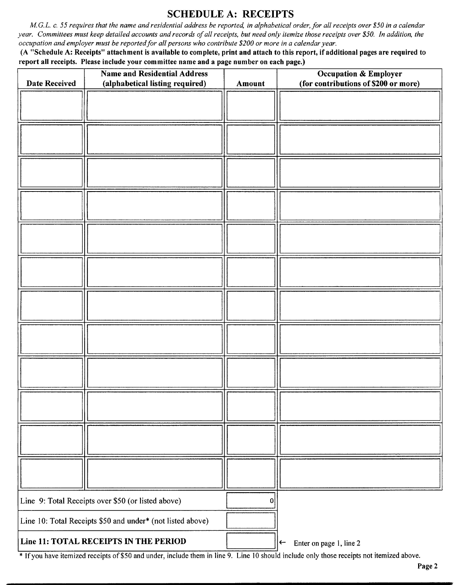# SCHEDULE A: RECEIPTS

M.G.L. c. 55 requires that the name and residential address be reported, in alphabetical order, for all receipts over \$50 in a calendar year. Committees must keep detailed accounts and records of all receipts, but need only itemize those receipts over \$50. In addition, the occupation and employer must be reported for all persons who contribute \$200 or more in a calendar year.

A " Schedule A: Receipts" attachment is available to complete, print and attach to this report, if additional pages are required to report all receipts. Please include your committee name and a page number on each page.)

| <b>Date Received</b>                  | <b>Name and Residential Address</b><br>(alphabetical listing required) | Amount | <b>Occupation &amp; Employer</b><br>(for contributions of \$200 or more) |
|---------------------------------------|------------------------------------------------------------------------|--------|--------------------------------------------------------------------------|
|                                       |                                                                        |        |                                                                          |
|                                       |                                                                        |        |                                                                          |
|                                       |                                                                        |        |                                                                          |
|                                       |                                                                        |        |                                                                          |
|                                       |                                                                        |        |                                                                          |
|                                       |                                                                        |        |                                                                          |
|                                       |                                                                        |        |                                                                          |
|                                       |                                                                        |        |                                                                          |
|                                       |                                                                        |        |                                                                          |
|                                       |                                                                        |        |                                                                          |
|                                       |                                                                        |        |                                                                          |
|                                       |                                                                        |        |                                                                          |
|                                       |                                                                        |        |                                                                          |
|                                       |                                                                        |        |                                                                          |
|                                       | Line 9: Total Receipts over \$50 (or listed above)                     | 0      |                                                                          |
|                                       | Line 10: Total Receipts \$50 and under* (not listed above)             |        |                                                                          |
| Line 11: TOTAL RECEIPTS IN THE PERIOD |                                                                        |        | Enter on page 1, line 2<br>$\leftarrow$                                  |

<sup>\*</sup> If you have itemized receipts of \$50 and under, include them in line 9. Line 10 should include only those receipts not itemized above.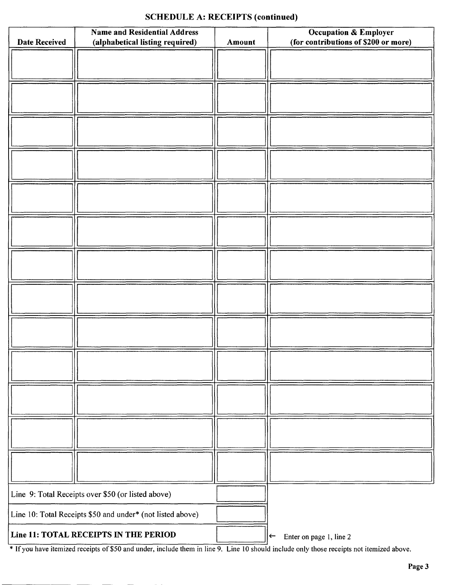#### SCHEDULE A: RECEIPTS (continued)

|                                                    | <b>Name and Residential Address</b>                        |        | <b>Occupation &amp; Employer</b>        |
|----------------------------------------------------|------------------------------------------------------------|--------|-----------------------------------------|
| <b>Date Received</b>                               | (alphabetical listing required)                            | Amount | (for contributions of \$200 or more)    |
|                                                    |                                                            |        |                                         |
|                                                    |                                                            |        |                                         |
|                                                    |                                                            |        |                                         |
|                                                    |                                                            |        |                                         |
|                                                    |                                                            |        |                                         |
|                                                    |                                                            |        |                                         |
|                                                    |                                                            |        |                                         |
|                                                    |                                                            |        |                                         |
|                                                    |                                                            |        |                                         |
|                                                    |                                                            |        |                                         |
|                                                    |                                                            |        |                                         |
|                                                    |                                                            |        |                                         |
|                                                    |                                                            |        |                                         |
|                                                    |                                                            |        |                                         |
|                                                    |                                                            |        |                                         |
|                                                    |                                                            |        |                                         |
|                                                    |                                                            |        |                                         |
|                                                    |                                                            |        |                                         |
|                                                    |                                                            |        |                                         |
|                                                    |                                                            |        |                                         |
|                                                    |                                                            |        |                                         |
|                                                    |                                                            |        |                                         |
|                                                    |                                                            |        |                                         |
|                                                    |                                                            |        |                                         |
|                                                    |                                                            |        |                                         |
|                                                    |                                                            |        |                                         |
|                                                    |                                                            |        |                                         |
|                                                    |                                                            |        |                                         |
|                                                    |                                                            |        |                                         |
|                                                    |                                                            |        |                                         |
|                                                    |                                                            |        |                                         |
|                                                    |                                                            |        |                                         |
|                                                    |                                                            |        |                                         |
|                                                    |                                                            |        |                                         |
|                                                    |                                                            |        |                                         |
|                                                    |                                                            |        |                                         |
| Line 9: Total Receipts over \$50 (or listed above) |                                                            |        |                                         |
|                                                    | Line 10: Total Receipts \$50 and under* (not listed above) |        |                                         |
|                                                    | Line 11: TOTAL RECEIPTS IN THE PERIOD                      |        | Enter on page 1, line 2<br>$\leftarrow$ |

<sup>\*</sup> If you have itemized receipts of \$50 and under, include them in line 9. Line 10 should include only those receipts not itemized above.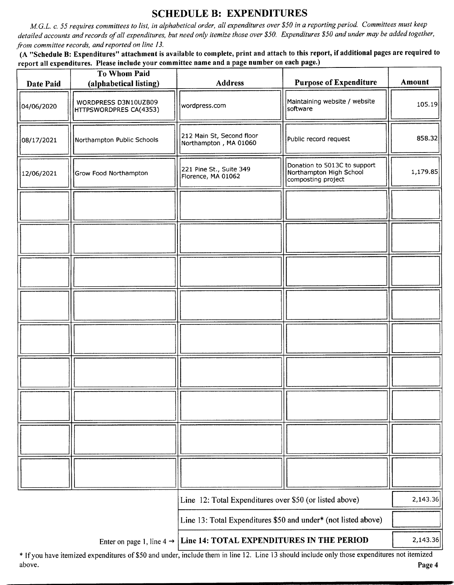## SCHEDULE B: EXPENDITURES

M.G.L. c. 55 requires committees to list, in alphabetical order, all expenditures over\$ 50 in a reporting period. Committees must keep detailed accounts and records of all expenditures, but need only itemize those over \$50. Expenditures \$50 and under may be added together, from committee records, and reported on line 13.

A " Schedule B: Expenditures" attachment is available to complete, print and attach to this report, if additional pages are required to report all expenditures. Please include your committee name and a page number on each page.)

| Date Paid  | <b>To Whom Paid</b><br>(alphabetical listing)  | <b>Address</b>                                                                  | <b>Purpose of Expenditure</b>                                                 | Amount   |
|------------|------------------------------------------------|---------------------------------------------------------------------------------|-------------------------------------------------------------------------------|----------|
| 04/06/2020 | WORDPRESS D3N10UZB09<br>HTTPSWORDPRES CA(4353) | wordpress.com                                                                   | Maintaining website / website<br>software                                     | 105.19   |
| 08/17/2021 | Northampton Public Schools                     | 212 Main St, Second floor<br>Northampton, MA 01060                              | Public record request                                                         | 858.32   |
| 12/06/2021 | Grow Food Northampton                          | 221 Pine St., Suite 349<br>Florence, MA 01062                                   | Donation to 5013C to support<br>Northampton High School<br>composting project | 1,179.85 |
|            |                                                |                                                                                 |                                                                               |          |
|            |                                                |                                                                                 |                                                                               |          |
|            |                                                |                                                                                 |                                                                               |          |
|            |                                                |                                                                                 |                                                                               |          |
|            |                                                |                                                                                 |                                                                               |          |
|            |                                                |                                                                                 |                                                                               |          |
|            |                                                |                                                                                 |                                                                               |          |
|            |                                                |                                                                                 |                                                                               |          |
|            |                                                |                                                                                 |                                                                               |          |
|            |                                                | Line 12: Total Expenditures over \$50 (or listed above)                         |                                                                               | 2,143.36 |
|            |                                                | Line 13: Total Expenditures \$50 and under* (not listed above)                  |                                                                               |          |
|            |                                                | Enter on page 1, line $4 \rightarrow$ Line 14: TOTAL EXPENDITURES IN THE PERIOD |                                                                               | 2,143.36 |

If you have itemized expenditures of\$ <sup>50</sup> and under, include them in line 12. Line <sup>13</sup> should include only those expenditures not itemized above. **Page 4** and the set of the set of the set of the set of the set of the set of the set of the set of the set of the set of the set of the set of the set of the set of the set of the set of the set of the set of the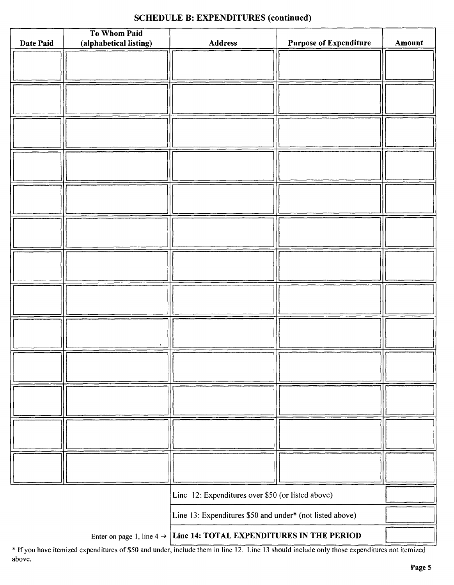#### SCHEDULE B: EXPENDITURES (continued)

| Date Paid | To Whom Paid<br>(alphabetical listing) | <b>Address</b>                                           | <b>Purpose of Expenditure</b> | Amount |
|-----------|----------------------------------------|----------------------------------------------------------|-------------------------------|--------|
|           |                                        |                                                          |                               |        |
|           |                                        |                                                          |                               |        |
|           |                                        |                                                          |                               |        |
|           |                                        |                                                          |                               |        |
|           |                                        |                                                          |                               |        |
|           |                                        |                                                          |                               |        |
|           |                                        |                                                          |                               |        |
|           |                                        |                                                          |                               |        |
|           |                                        |                                                          |                               |        |
|           |                                        |                                                          |                               |        |
|           |                                        |                                                          |                               |        |
|           |                                        |                                                          |                               |        |
|           |                                        |                                                          |                               |        |
|           |                                        |                                                          |                               |        |
|           |                                        |                                                          |                               |        |
|           |                                        |                                                          |                               |        |
|           |                                        |                                                          |                               |        |
|           |                                        |                                                          |                               |        |
|           |                                        |                                                          |                               |        |
|           |                                        |                                                          |                               |        |
|           |                                        |                                                          |                               |        |
|           |                                        |                                                          |                               |        |
|           |                                        |                                                          |                               |        |
|           |                                        |                                                          |                               |        |
|           |                                        |                                                          |                               |        |
|           |                                        |                                                          |                               |        |
|           |                                        |                                                          |                               |        |
|           |                                        |                                                          |                               |        |
|           |                                        |                                                          |                               |        |
|           |                                        |                                                          |                               |        |
|           |                                        |                                                          |                               |        |
|           |                                        |                                                          |                               |        |
|           |                                        |                                                          |                               |        |
|           |                                        | Line 12: Expenditures over \$50 (or listed above)        |                               |        |
|           |                                        | Line 13: Expenditures \$50 and under* (not listed above) |                               |        |
|           |                                        |                                                          |                               |        |

Enter on page 1, line  $4 \rightarrow$  Line 14: TOTAL EXPENDITURES IN THE PERIOD

\* If you have itemized expenditures of \$50 and under, include them in line 12. Line 13 should include only those expenditures not itemized above.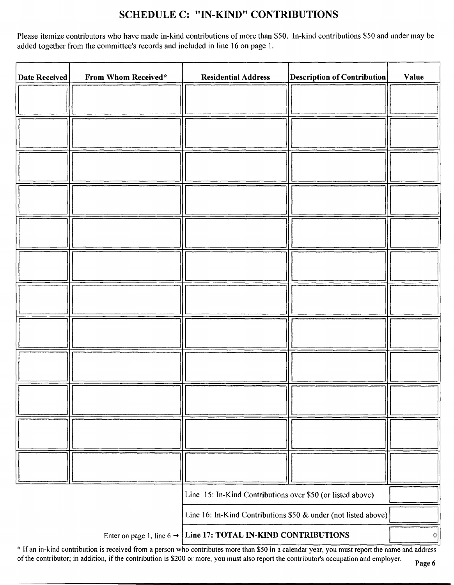### SCHEDULE C: " IN-KIND" CONTRIBUTIONS

Please itemize contributors who have made in-kind contributions of more than \$50. In-kind contributions \$50 and under may be added together from the committee's records and included in line 16 on page 1.

| Date Received | From Whom Received*                                            | <b>Residential Address</b>                                 | <b>Description of Contribution</b> | <b>Value</b> |
|---------------|----------------------------------------------------------------|------------------------------------------------------------|------------------------------------|--------------|
|               |                                                                |                                                            |                                    |              |
|               |                                                                |                                                            |                                    |              |
|               |                                                                |                                                            |                                    |              |
|               |                                                                |                                                            |                                    |              |
|               |                                                                |                                                            |                                    |              |
|               |                                                                |                                                            |                                    |              |
|               |                                                                |                                                            |                                    |              |
|               |                                                                |                                                            |                                    |              |
|               |                                                                |                                                            |                                    |              |
|               |                                                                |                                                            |                                    |              |
|               |                                                                |                                                            |                                    |              |
|               |                                                                |                                                            |                                    |              |
|               |                                                                |                                                            |                                    |              |
|               |                                                                | Line 15: In-Kind Contributions over \$50 (or listed above) |                                    |              |
|               | Line 16: In-Kind Contributions \$50 & under (not listed above) |                                                            |                                    |              |
|               | Enter on page 1, line 6 $\rightarrow$                          | Line 17: TOTAL IN-KIND CONTRIBUTIONS                       |                                    | 0            |

\* If an in-kind contribution is received from a person who contributes more than \$50 in a calendar year, you must report the name and address of the contributor; in addition, if the contribution is \$200 or more, you must also report the contributor's occupation and employer.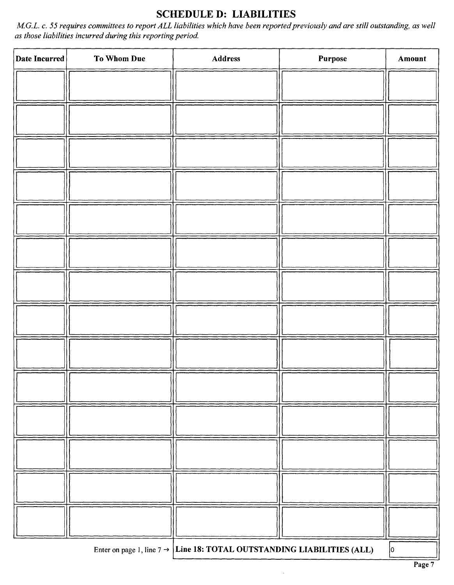# SCHEDULE D: LIABILITIES

M.G.L. c. 55 requires committees to report ALL liabilities which have been reported previously and are still outstanding, as well as those liabilities incurred during this reporting period.

| Date Incurred | To Whom Due | Address                                                                            | Purpose | Amount      |
|---------------|-------------|------------------------------------------------------------------------------------|---------|-------------|
|               |             |                                                                                    |         |             |
|               |             |                                                                                    |         |             |
|               |             |                                                                                    |         |             |
|               |             |                                                                                    |         |             |
|               |             |                                                                                    |         |             |
|               |             |                                                                                    |         |             |
|               |             |                                                                                    |         |             |
|               |             |                                                                                    |         |             |
|               |             |                                                                                    |         |             |
|               |             |                                                                                    |         |             |
|               |             |                                                                                    |         |             |
|               |             |                                                                                    |         |             |
|               |             |                                                                                    |         |             |
|               |             |                                                                                    |         |             |
|               |             |                                                                                    |         |             |
|               |             |                                                                                    |         |             |
|               |             |                                                                                    |         |             |
|               |             |                                                                                    |         |             |
|               |             |                                                                                    |         |             |
|               |             |                                                                                    |         |             |
|               |             |                                                                                    |         |             |
|               |             |                                                                                    |         |             |
|               |             | Enter on page 1, line $7 \rightarrow$ Line 18: TOTAL OUTSTANDING LIABILITIES (ALL) |         | $ 0\rangle$ |

l.